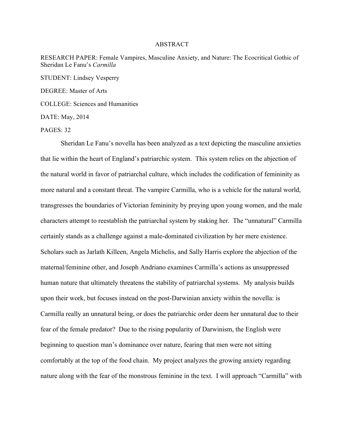## ABSTRACT

RESEARCH PAPER: Female Vampires, Masculine Anxiety, and Nature: The Ecocritical Gothic of Sheridan Le Fanu's *Carmilla* STUDENT: Lindsey Vesperry

DEGREE: Master of Arts

COLLEGE: Sciences and Humanities

DATE: May, 2014

PAGES: 32

Sheridan Le Fanu's novella has been analyzed as a text depicting the masculine anxieties that lie within the heart of England's patriarchic system. This system relies on the abjection of the natural world in favor of patriarchal culture, which includes the codification of femininity as more natural and a constant threat. The vampire Carmilla, who is a vehicle for the natural world, transgresses the boundaries of Victorian femininity by preying upon young women, and the male characters attempt to reestablish the patriarchal system by staking her. The "unnatural" Carmilla certainly stands as a challenge against a male-dominated civilization by her mere existence. Scholars such as Jarlath Killeen, Angela Michelis, and Sally Harris explore the abjection of the maternal/feminine other, and Joseph Andriano examines Carmilla's actions as unsuppressed human nature that ultimately threatens the stability of patriarchal systems. My analysis builds upon their work, but focuses instead on the post-Darwinian anxiety within the novella: is Carmilla really an unnatural being, or does the patriarchic order deem her unnatural due to their fear of the female predator? Due to the rising popularity of Darwinism, the English were beginning to question man's dominance over nature, fearing that men were not sitting comfortably at the top of the food chain. My project analyzes the growing anxiety regarding nature along with the fear of the monstrous feminine in the text. I will approach "Carmilla" with